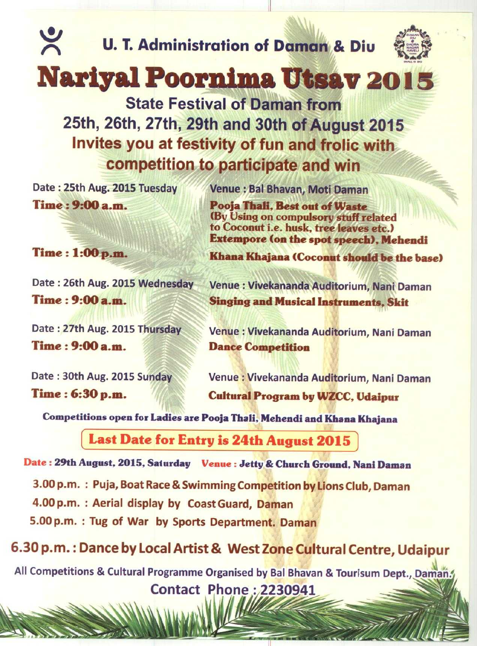U. T. Administration **of Daman &** Diu

**11**



**IAN**

## **Narl**y**al Poornima Utsav 201 3**

**State Festival of Daman from 25th**, **26th**, **27th**, **29th and 30th of August 2015 Invites you at festivity of fun and frolic with competition to participate and win**

Time : 9:**00 a.m. Pooja Thali, Best out of Waste**

 $\tilde{\mathbf{X}}$ 

Time : 9:00 a.m. **Dance Competition** 

Date : 25th Aug. 2015 Tuesday Venue **: Bal Bhavan**, Moti Daman

(By Using on compulsory stuff related to Coconut i.e. husk, tree leaves etc.) **Extempore** (**on the spot speech**), **Mehendi**

Time : 1:**00 p.m. Khana Khajana** (**Coconut should be the base)**

Date : 26th Aug. 2015 Wednesday Venue : Vivekananda Auditorium, **Nani Daman** T**ime: 9:00 a.m. Singing and Musical Instruments, Skit**

Date: 27th Aug. 2015 Thursday Venue : Vivekananda Auditorium, Nani Daman

Date : 30th Aug. 2015 Sunday Venue : Vivekananda Auditorium**, Nani Daman** Time : 6**:30 p.m. Cultural Program** by WZCC, **Udaipur**

**Competitions open for Ladies are Pooja Thali** , **Mehendi and Khana Khajana**

**Last Date for Entry is 24th August 2015**

Date : 29th August, 2015, Saturday Venue : Jetty & Church Ground, **Nani Daman**

3.00 p.m. : Puja, Boat Race & Swimming Competition by Lions Club, Daman

4.00 p.m. : Aerial display by Coast Guard, Daman

5.00 p.m. : Tug of War by Sports Department. Daman

**6.30 p**. **m.: Dance by Local Artist** & **West Zone Cultural Centre**, **Udaipur**

**All Competitions** & **Cultural Programme Organised by Bal Bhavan** & **Tourisum Dept**., Daman! **Contact Phone** : 2230941